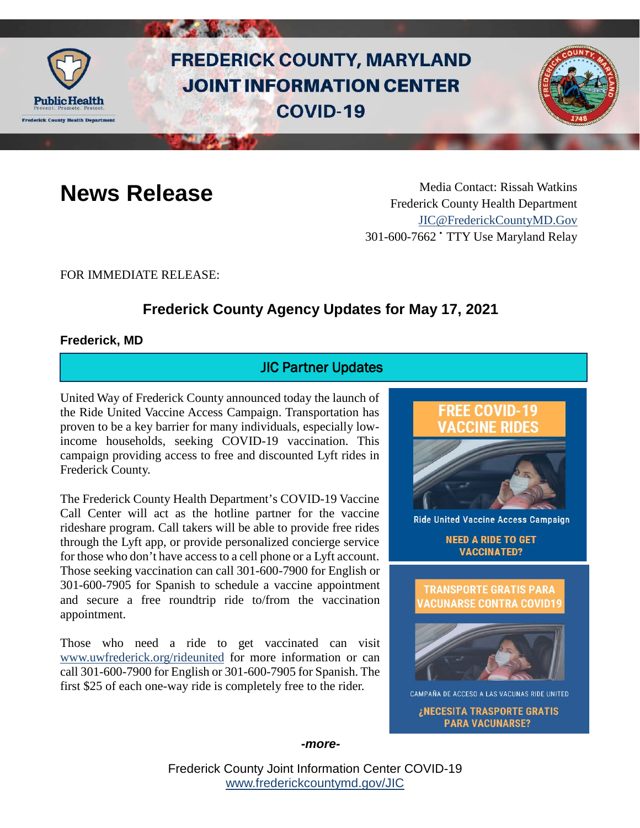

# **FREDERICK COUNTY, MARYLAND JOINT INFORMATION CENTER COVID-19**



**News Release** Media Contact: Rissah Watkins Frederick County Health Department [JIC@FrederickCountyMD.Gov](mailto:JIC@FrederickCountyMD.Gov) 301-600-7662 • TTY Use Maryland Relay

FOR IMMEDIATE RELEASE:

# **Frederick County Agency Updates for May 17, 2021**

#### **Frederick, MD**

# JIC Partner Updates

United Way of Frederick County announced today the launch of the Ride United Vaccine Access Campaign. Transportation has proven to be a key barrier for many individuals, especially lowincome households, seeking COVID-19 vaccination. This campaign providing access to free and discounted Lyft rides in Frederick County.

The Frederick County Health Department's COVID-19 Vaccine Call Center will act as the hotline partner for the vaccine rideshare program. Call takers will be able to provide free rides through the Lyft app, or provide personalized concierge service for those who don't have access to a cell phone or a Lyft account. Those seeking vaccination can call 301-600-7900 for English or 301-600-7905 for Spanish to schedule a vaccine appointment and secure a free roundtrip ride to/from the vaccination appointment.

Those who need a ride to get vaccinated can visit [www.uwfrederick.org/rideunited](http://www.uwfrederick.org/rideunited) for more information or can call 301-600-7900 for English or 301-600-7905 for Spanish. The first \$25 of each one-way ride is completely free to the rider.





CAMPAÑA DE ACCESO A LAS VACUNAS RIDE UNITED

¿NECESITA TRASPORTE GRATIS **PARA VACUNARSE?** 

*-more-*

Frederick County Joint Information Center COVID-19 [www.frederickcountymd.gov/JIC](https://frederickcountymd.gov/JIC)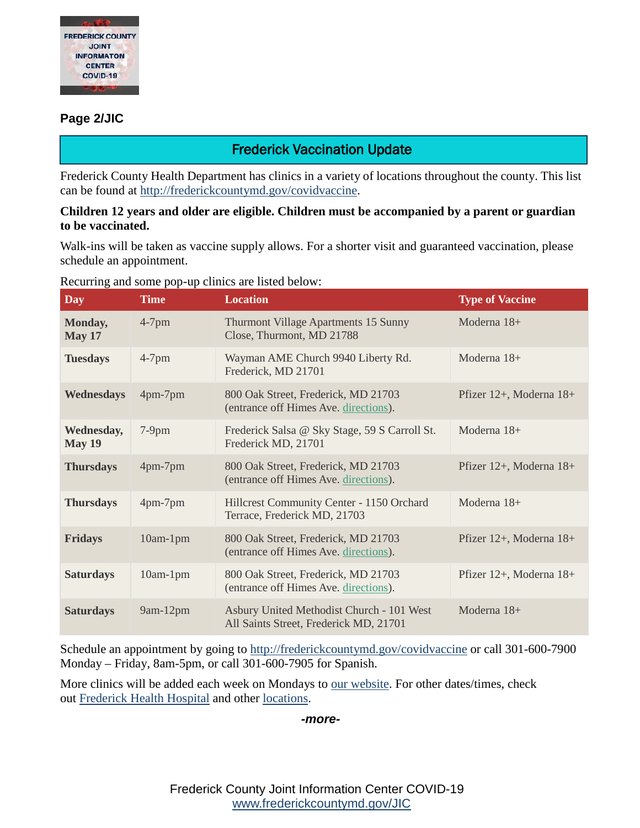

#### **Page 2/JIC**

# Frederick Vaccination Update

Frederick County Health Department has clinics in a variety of locations throughout the county. This list can be found at [http://frederickcountymd.gov/covidvaccine.](https://t.co/Kpu8oYothe?amp=1)

#### **Children 12 years and older are eligible. Children must be accompanied by a parent or guardian to be vaccinated.**

Walk-ins will be taken as vaccine supply allows. For a shorter visit and guaranteed vaccination, please schedule an appointment.

Recurring and some pop-up clinics are listed below:

| <b>Day</b>               | <b>Time</b> | <b>Location</b>                                                                     | <b>Type of Vaccine</b>  |
|--------------------------|-------------|-------------------------------------------------------------------------------------|-------------------------|
| Monday,<br><b>May 17</b> | $4-7$ pm    | Thurmont Village Apartments 15 Sunny<br>Close, Thurmont, MD 21788                   | Moderna 18+             |
| <b>Tuesdays</b>          | $4-7$ pm    | Wayman AME Church 9940 Liberty Rd.<br>Frederick, MD 21701                           | Moderna 18+             |
| Wednesdays               | 4pm-7pm     | 800 Oak Street, Frederick, MD 21703<br>(entrance off Himes Ave. directions).        | Pfizer 12+, Moderna 18+ |
| Wednesday,<br>May 19     | $7-9$ pm    | Frederick Salsa @ Sky Stage, 59 S Carroll St.<br>Frederick MD, 21701                | Moderna 18+             |
| <b>Thursdays</b>         | 4pm-7pm     | 800 Oak Street, Frederick, MD 21703<br>(entrance off Himes Ave. directions).        | Pfizer 12+, Moderna 18+ |
| <b>Thursdays</b>         | $4pm-7pm$   | Hillcrest Community Center - 1150 Orchard<br>Terrace, Frederick MD, 21703           | Moderna $18+$           |
| <b>Fridays</b>           | $10am-1pm$  | 800 Oak Street, Frederick, MD 21703<br>(entrance off Himes Ave. directions).        | Pfizer 12+, Moderna 18+ |
| <b>Saturdays</b>         | $10am-1pm$  | 800 Oak Street, Frederick, MD 21703<br>(entrance off Himes Ave. directions).        | Pfizer 12+, Moderna 18+ |
| <b>Saturdays</b>         | 9am-12pm    | Asbury United Methodist Church - 101 West<br>All Saints Street, Frederick MD, 21701 | Moderna $18+$           |

Schedule an appointment by going to [http://frederickcountymd.gov/covidvaccine](https://t.co/Kpu8oYothe?amp=1) or call 301-600-7900 Monday – Friday, 8am-5pm, or call 301-600-7905 for Spanish.

More clinics will be added each week on Mondays to [our website.](http://frederickcountymd.gov/CovidVaccine) For other dates/times, check out [Frederick Health Hospital](https://www.frederickhealth.org/patients-visitors/coronavirus-covid-19-/schedule-your-covid-19-vaccine/) and other [locations.](https://www.marylandvax.org/appointment/en/clinic/search)

#### *-more-*